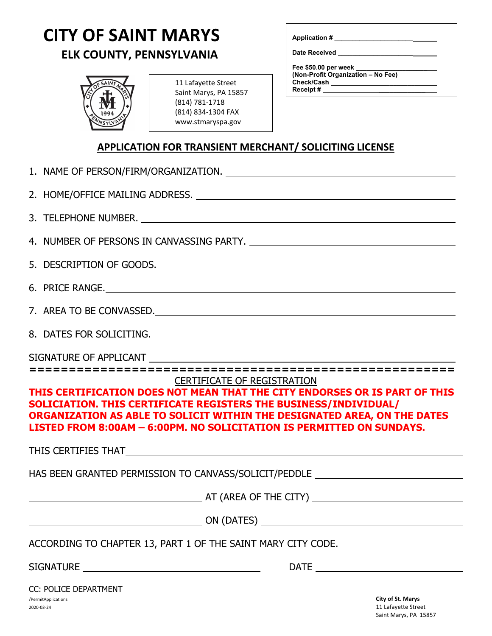## **CITY OF SAINT MARYS**

## **ELK COUNTY, PENNSYLVANIA**



| 11 Lafayette Street   |
|-----------------------|
| Saint Marys, PA 15857 |
| (814) 781-1718        |
| (814) 834-1304 FAX    |
| www.stmaryspa.gov     |

**Application # \_\_\_\_\_\_\_\_\_\_\_\_\_\_\_\_\_\_\_\_\_\_**

**Date Received \_\_\_\_\_\_\_\_\_\_\_\_\_\_\_\_\_\_\_\_\_**

**Fee \$50.00 per week \_\_\_\_\_\_\_\_\_\_\_\_\_\_\_\_\_\_\_\_ (Non-Profit Organization – No Fee) Check/Cash \_\_\_\_\_\_\_\_\_\_\_ Receipt # \_\_\_\_\_\_\_\_\_\_\_\_\_**

## **APPLICATION FOR TRANSIENT MERCHANT/ SOLICITING LICENSE**

| 2. HOME/OFFICE MAILING ADDRESS. MARKEY AND THE RESERVE TO A REPORT OF THE RESERVE TO A REPORT OF THE RESERVE TO                                                                                                                                                                                                                           |  |  |  |  |  |
|-------------------------------------------------------------------------------------------------------------------------------------------------------------------------------------------------------------------------------------------------------------------------------------------------------------------------------------------|--|--|--|--|--|
|                                                                                                                                                                                                                                                                                                                                           |  |  |  |  |  |
|                                                                                                                                                                                                                                                                                                                                           |  |  |  |  |  |
| 5. DESCRIPTION OF GOODS.                                                                                                                                                                                                                                                                                                                  |  |  |  |  |  |
| 6. PRICE RANGE.                                                                                                                                                                                                                                                                                                                           |  |  |  |  |  |
| 7. AREA TO BE CONVASSED.                                                                                                                                                                                                                                                                                                                  |  |  |  |  |  |
|                                                                                                                                                                                                                                                                                                                                           |  |  |  |  |  |
|                                                                                                                                                                                                                                                                                                                                           |  |  |  |  |  |
| ===========================                                                                                                                                                                                                                                                                                                               |  |  |  |  |  |
| <b>CERTIFICATE OF REGISTRATION</b><br>THIS CERTIFICATION DOES NOT MEAN THAT THE CITY ENDORSES OR IS PART OF THIS<br>SOLICIATION. THIS CERTIFICATE REGISTERS THE BUSINESS/INDIVIDUAL/<br>ORGANIZATION AS ABLE TO SOLICIT WITHIN THE DESIGNATED AREA, ON THE DATES<br>LISTED FROM 8:00AM - 6:00PM. NO SOLICITATION IS PERMITTED ON SUNDAYS. |  |  |  |  |  |
|                                                                                                                                                                                                                                                                                                                                           |  |  |  |  |  |
| HAS BEEN GRANTED PERMISSION TO CANVASS/SOLICIT/PEDDLE __________________________                                                                                                                                                                                                                                                          |  |  |  |  |  |
|                                                                                                                                                                                                                                                                                                                                           |  |  |  |  |  |
|                                                                                                                                                                                                                                                                                                                                           |  |  |  |  |  |
| ACCORDING TO CHAPTER 13, PART 1 OF THE SAINT MARY CITY CODE.                                                                                                                                                                                                                                                                              |  |  |  |  |  |
|                                                                                                                                                                                                                                                                                                                                           |  |  |  |  |  |

/PermitApplications 2020-03-24